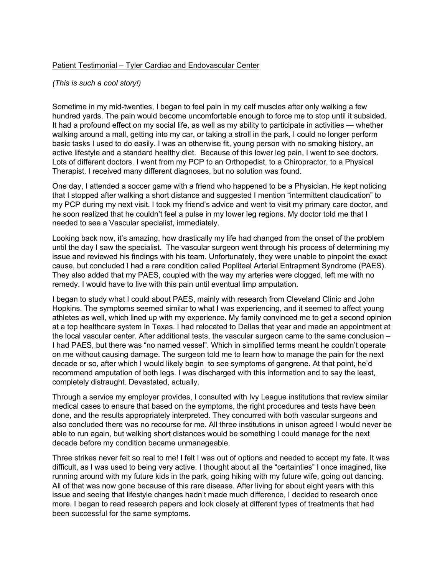## Patient Testimonial – Tyler Cardiac and Endovascular Center

*(This is such a cool story!)*

Sometime in my mid-twenties, I began to feel pain in my calf muscles after only walking a few hundred yards. The pain would become uncomfortable enough to force me to stop until it subsided. It had a profound effect on my social life, as well as my ability to participate in activities — whether walking around a mall, getting into my car, or taking a stroll in the park, I could no longer perform basic tasks I used to do easily. I was an otherwise fit, young person with no smoking history, an active lifestyle and a standard healthy diet. Because of this lower leg pain, I went to see doctors. Lots of different doctors. I went from my PCP to an Orthopedist, to a Chiropractor, to a Physical Therapist. I received many different diagnoses, but no solution was found.

One day, I attended a soccer game with a friend who happened to be a Physician. He kept noticing that I stopped after walking a short distance and suggested I mention "intermittent claudication" to my PCP during my next visit. I took my friend's advice and went to visit my primary care doctor, and he soon realized that he couldn't feel a pulse in my lower leg regions. My doctor told me that I needed to see a Vascular specialist, immediately.

Looking back now, it's amazing, how drastically my life had changed from the onset of the problem until the day I saw the specialist. The vascular surgeon went through his process of determining my issue and reviewed his findings with his team. Unfortunately, they were unable to pinpoint the exact cause, but concluded I had a rare condition called Popliteal Arterial Entrapment Syndrome (PAES). They also added that my PAES, coupled with the way my arteries were clogged, left me with no remedy. I would have to live with this pain until eventual limp amputation.

I began to study what I could about PAES, mainly with research from Cleveland Clinic and John Hopkins. The symptoms seemed similar to what I was experiencing, and it seemed to affect young athletes as well, which lined up with my experience. My family convinced me to get a second opinion at a top healthcare system in Texas. I had relocated to Dallas that year and made an appointment at the local vascular center. After additional tests, the vascular surgeon came to the same conclusion – I had PAES, but there was "no named vessel". Which in simplified terms meant he couldn't operate on me without causing damage. The surgeon told me to learn how to manage the pain for the next decade or so, after which I would likely begin to see symptoms of gangrene. At that point, he'd recommend amputation of both legs. I was discharged with this information and to say the least, completely distraught. Devastated, actually.

Through a service my employer provides, I consulted with Ivy League institutions that review similar medical cases to ensure that based on the symptoms, the right procedures and tests have been done, and the results appropriately interpreted. They concurred with both vascular surgeons and also concluded there was no recourse for me. All three institutions in unison agreed I would never be able to run again, but walking short distances would be something I could manage for the next decade before my condition became unmanageable.

Three strikes never felt so real to me! I felt I was out of options and needed to accept my fate. It was difficult, as I was used to being very active. I thought about all the "certainties" I once imagined, like running around with my future kids in the park, going hiking with my future wife, going out dancing. All of that was now gone because of this rare disease. After living for about eight years with this issue and seeing that lifestyle changes hadn't made much difference, I decided to research once more. I began to read research papers and look closely at different types of treatments that had been successful for the same symptoms.